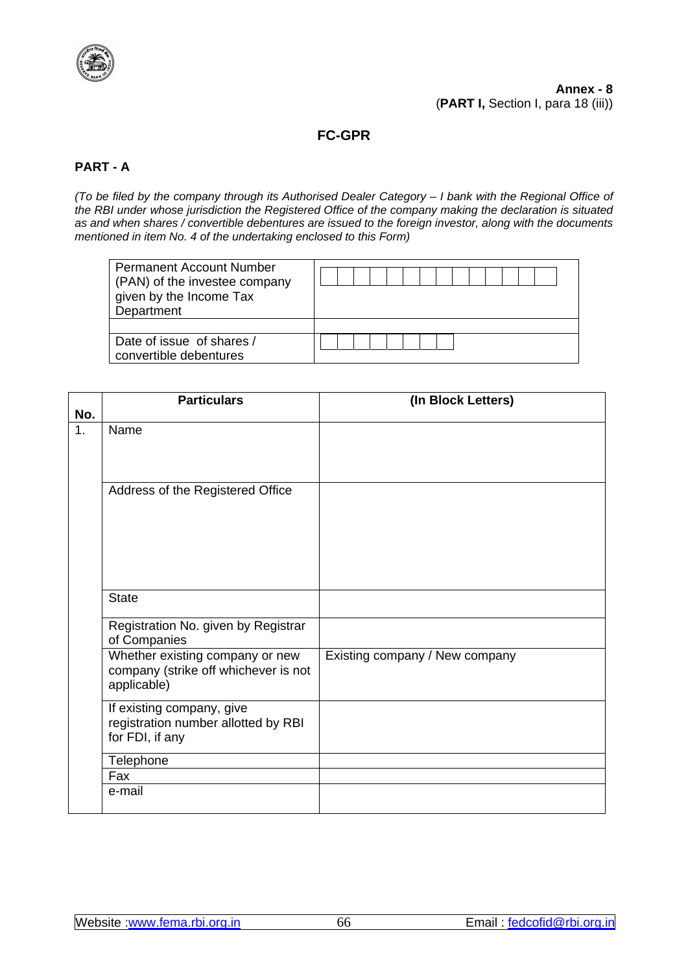

# **FC-GPR**

# **PART - A**

*(To be filed by the company through its Authorised Dealer Category – I bank with the Regional Office of the RBI under whose jurisdiction the Registered Office of the company making the declaration is situated as and when shares / convertible debentures are issued to the foreign investor, along with the documents mentioned in item No. 4 of the undertaking enclosed to this Form)*

| <b>Permanent Account Number</b><br>(PAN) of the investee company<br>given by the Income Tax<br>Department |  |
|-----------------------------------------------------------------------------------------------------------|--|
|                                                                                                           |  |
| Date of issue of shares /<br>convertible debentures                                                       |  |

|     | <b>Particulars</b>                                                                     | (In Block Letters)             |
|-----|----------------------------------------------------------------------------------------|--------------------------------|
| No. |                                                                                        |                                |
| 1.  | Name                                                                                   |                                |
|     | Address of the Registered Office                                                       |                                |
|     | <b>State</b>                                                                           |                                |
|     | Registration No. given by Registrar<br>of Companies                                    |                                |
|     | Whether existing company or new<br>company (strike off whichever is not<br>applicable) | Existing company / New company |
|     | If existing company, give<br>registration number allotted by RBI<br>for FDI, if any    |                                |
|     | Telephone                                                                              |                                |
|     | Fax                                                                                    |                                |
|     | e-mail                                                                                 |                                |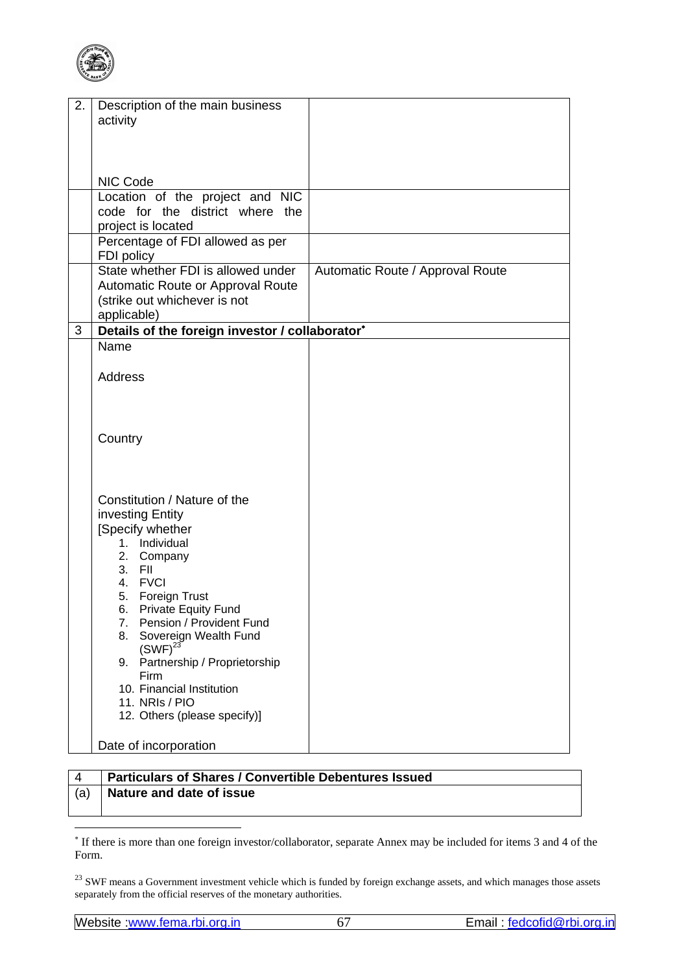

| 2. | Description of the main business                |                                  |
|----|-------------------------------------------------|----------------------------------|
|    | activity                                        |                                  |
|    |                                                 |                                  |
|    |                                                 |                                  |
|    |                                                 |                                  |
|    |                                                 |                                  |
|    | NIC Code                                        |                                  |
|    | Location of the project and NIC                 |                                  |
|    | code for the district where the                 |                                  |
|    | project is located                              |                                  |
|    | Percentage of FDI allowed as per                |                                  |
|    | FDI policy                                      |                                  |
|    | State whether FDI is allowed under              | Automatic Route / Approval Route |
|    | Automatic Route or Approval Route               |                                  |
|    | (strike out whichever is not                    |                                  |
|    | applicable)                                     |                                  |
| 3  | Details of the foreign investor / collaborator* |                                  |
|    | Name                                            |                                  |
|    |                                                 |                                  |
|    | <b>Address</b>                                  |                                  |
|    |                                                 |                                  |
|    |                                                 |                                  |
|    |                                                 |                                  |
|    | Country                                         |                                  |
|    |                                                 |                                  |
|    |                                                 |                                  |
|    |                                                 |                                  |
|    |                                                 |                                  |
|    | Constitution / Nature of the                    |                                  |
|    | investing Entity                                |                                  |
|    | [Specify whether                                |                                  |
|    | 1. Individual                                   |                                  |
|    | 2. Company<br>3. FII                            |                                  |
|    | 4. FVCI                                         |                                  |
|    | 5. Foreign Trust                                |                                  |
|    | 6. Private Equity Fund                          |                                  |
|    | 7. Pension / Provident Fund                     |                                  |
|    | 8.<br>Sovereign Wealth Fund                     |                                  |
|    | $(SWF)^{23}$                                    |                                  |
|    | Partnership / Proprietorship<br>9.              |                                  |
|    | Firm                                            |                                  |
|    | 10. Financial Institution                       |                                  |
|    | 11. NRIs / PIO                                  |                                  |
|    | 12. Others (please specify)]                    |                                  |
|    |                                                 |                                  |
|    | Date of incorporation                           |                                  |

# 4 **Particulars of Shares / Convertible Debentures Issued**  (a) **Nature and date of issue**

<sup>∗</sup> If there is more than one foreign investor/collaborator, separate Annex may be included for items 3 and 4 of the Form.

 $23$  SWF means a Government investment vehicle which is funded by foreign exchange assets, and which manages those assets separately from the official reserves of the monetary authorities.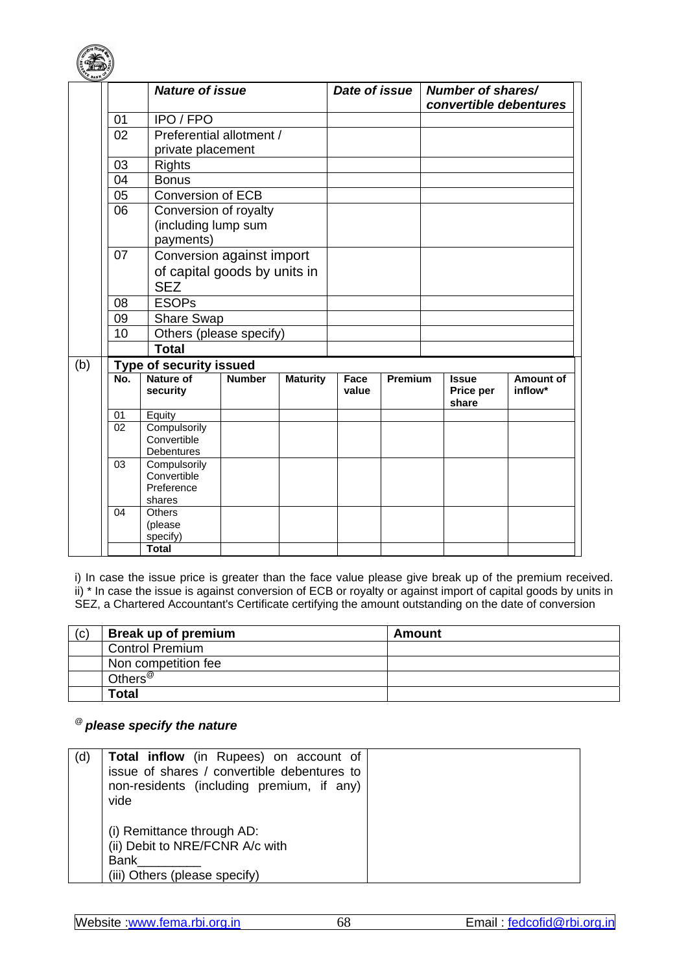

|     |     | <b>Nature of issue</b>                                    |               |                 | Date of issue |         | Number of shares/<br>convertible debentures |                      |
|-----|-----|-----------------------------------------------------------|---------------|-----------------|---------------|---------|---------------------------------------------|----------------------|
|     | 01  | IPO / FPO                                                 |               |                 |               |         |                                             |                      |
|     | 02  | Preferential allotment /                                  |               |                 |               |         |                                             |                      |
|     |     | private placement                                         |               |                 |               |         |                                             |                      |
|     | 03  | <b>Rights</b>                                             |               |                 |               |         |                                             |                      |
|     | 04  | <b>Bonus</b>                                              |               |                 |               |         |                                             |                      |
|     | 05  | <b>Conversion of ECB</b>                                  |               |                 |               |         |                                             |                      |
|     | 06  | Conversion of royalty<br>(including lump sum<br>payments) |               |                 |               |         |                                             |                      |
|     | 07  | Conversion against import                                 |               |                 |               |         |                                             |                      |
|     |     | of capital goods by units in<br><b>SEZ</b>                |               |                 |               |         |                                             |                      |
|     | 08  | <b>ESOPs</b>                                              |               |                 |               |         |                                             |                      |
|     | 09  | <b>Share Swap</b>                                         |               |                 |               |         |                                             |                      |
|     | 10  | Others (please specify)                                   |               |                 |               |         |                                             |                      |
|     |     | <b>Total</b>                                              |               |                 |               |         |                                             |                      |
| (b) |     | <b>Type of security issued</b>                            |               |                 |               |         |                                             |                      |
|     | No. | <b>Nature of</b><br>security                              | <b>Number</b> | <b>Maturity</b> | Face<br>value | Premium | <b>Issue</b><br>Price per<br>share          | Amount of<br>inflow* |
|     | 01  | Equity                                                    |               |                 |               |         |                                             |                      |
|     | 02  | Compulsorily<br>Convertible<br>Debentures                 |               |                 |               |         |                                             |                      |
|     | 03  | Compulsorily<br>Convertible<br>Preference<br>shares       |               |                 |               |         |                                             |                      |
|     | 04  | <b>Others</b><br>(please<br>specify)                      |               |                 |               |         |                                             |                      |
|     |     | <b>Total</b>                                              |               |                 |               |         |                                             |                      |

i) In case the issue price is greater than the face value please give break up of the premium received. ii) \* In case the issue is against conversion of ECB or royalty or against import of capital goods by units in SEZ, a Chartered Accountant's Certificate certifying the amount outstanding on the date of conversion

| (c) | Break up of premium    | Amount |
|-----|------------------------|--------|
|     | <b>Control Premium</b> |        |
|     | Non competition fee    |        |
|     | Others <sup>@</sup>    |        |
|     | Total                  |        |

# @ *please specify the nature*

| (d) | <b>Total inflow</b> (in Rupees) on account of<br>issue of shares / convertible debentures to<br>non-residents (including premium, if any)<br>vide |  |
|-----|---------------------------------------------------------------------------------------------------------------------------------------------------|--|
|     | (i) Remittance through AD:<br>(ii) Debit to NRE/FCNR A/c with<br><b>Bank</b><br>(iii) Others (please specify)                                     |  |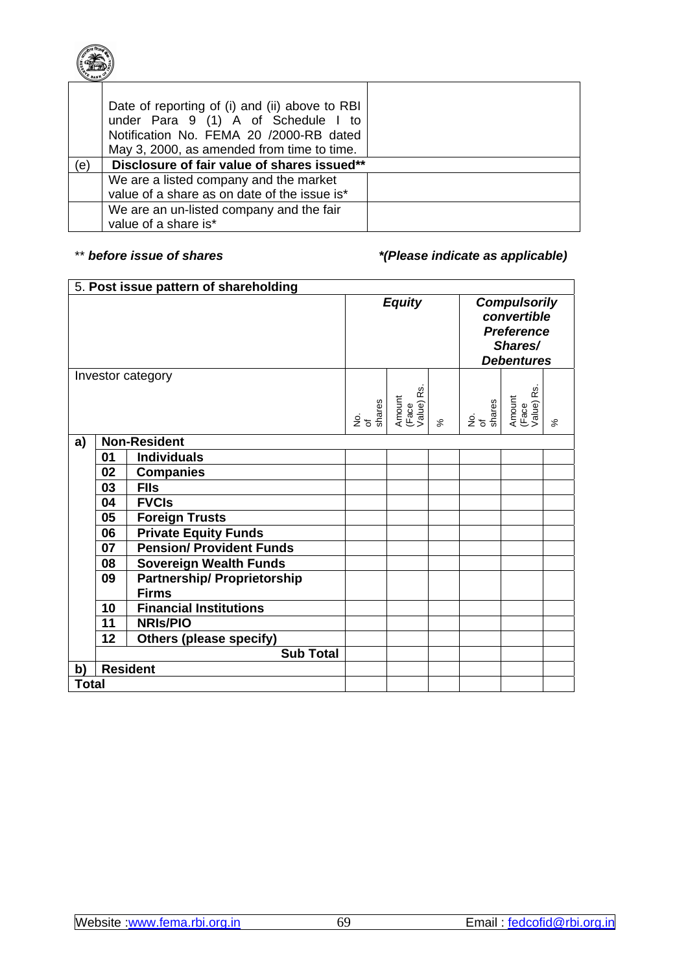

|     | Date of reporting of (i) and (ii) above to RBI<br>under Para 9 (1) A of Schedule I to<br>Notification No. FEMA 20 /2000-RB dated |  |
|-----|----------------------------------------------------------------------------------------------------------------------------------|--|
|     | May 3, 2000, as amended from time to time.                                                                                       |  |
|     |                                                                                                                                  |  |
| (e) | Disclosure of fair value of shares issued**                                                                                      |  |
|     | We are a listed company and the market                                                                                           |  |
|     | value of a share as on date of the issue is*                                                                                     |  |

# \*\* *before issue of shares before issue of shares f*  $(Please \text{ } indicate \text{ } as \text{ } applied \text{ }e)$

|              |    | 5. Post issue pattern of shareholding              |                     |                               |          |                     |                                                                                         |          |
|--------------|----|----------------------------------------------------|---------------------|-------------------------------|----------|---------------------|-----------------------------------------------------------------------------------------|----------|
|              |    |                                                    |                     | <b>Equity</b>                 |          |                     | <b>Compulsorily</b><br>convertible<br><b>Preference</b><br>Shares/<br><b>Debentures</b> |          |
|              |    | Investor category                                  |                     |                               |          |                     | S                                                                                       |          |
|              |    |                                                    | No.<br>of<br>shares | Amount<br>(Face<br>Value) Rs. | $\aleph$ | No.<br>of<br>shares | Amount<br>(Face<br>Value) Rs                                                            | $\aleph$ |
| a)           |    | <b>Non-Resident</b>                                |                     |                               |          |                     |                                                                                         |          |
|              | 01 | <b>Individuals</b>                                 |                     |                               |          |                     |                                                                                         |          |
|              | 02 | <b>Companies</b>                                   |                     |                               |          |                     |                                                                                         |          |
|              | 03 | <b>FIIs</b>                                        |                     |                               |          |                     |                                                                                         |          |
|              | 04 | <b>FVCIs</b>                                       |                     |                               |          |                     |                                                                                         |          |
|              | 05 | <b>Foreign Trusts</b>                              |                     |                               |          |                     |                                                                                         |          |
|              | 06 | <b>Private Equity Funds</b>                        |                     |                               |          |                     |                                                                                         |          |
|              | 07 | <b>Pension/ Provident Funds</b>                    |                     |                               |          |                     |                                                                                         |          |
|              | 08 | <b>Sovereign Wealth Funds</b>                      |                     |                               |          |                     |                                                                                         |          |
|              | 09 | <b>Partnership/ Proprietorship</b><br><b>Firms</b> |                     |                               |          |                     |                                                                                         |          |
|              | 10 | <b>Financial Institutions</b>                      |                     |                               |          |                     |                                                                                         |          |
|              | 11 | <b>NRIS/PIO</b>                                    |                     |                               |          |                     |                                                                                         |          |
|              | 12 | <b>Others (please specify)</b>                     |                     |                               |          |                     |                                                                                         |          |
|              |    | <b>Sub Total</b>                                   |                     |                               |          |                     |                                                                                         |          |
| b)           |    | <b>Resident</b>                                    |                     |                               |          |                     |                                                                                         |          |
| <b>Total</b> |    |                                                    |                     |                               |          |                     |                                                                                         |          |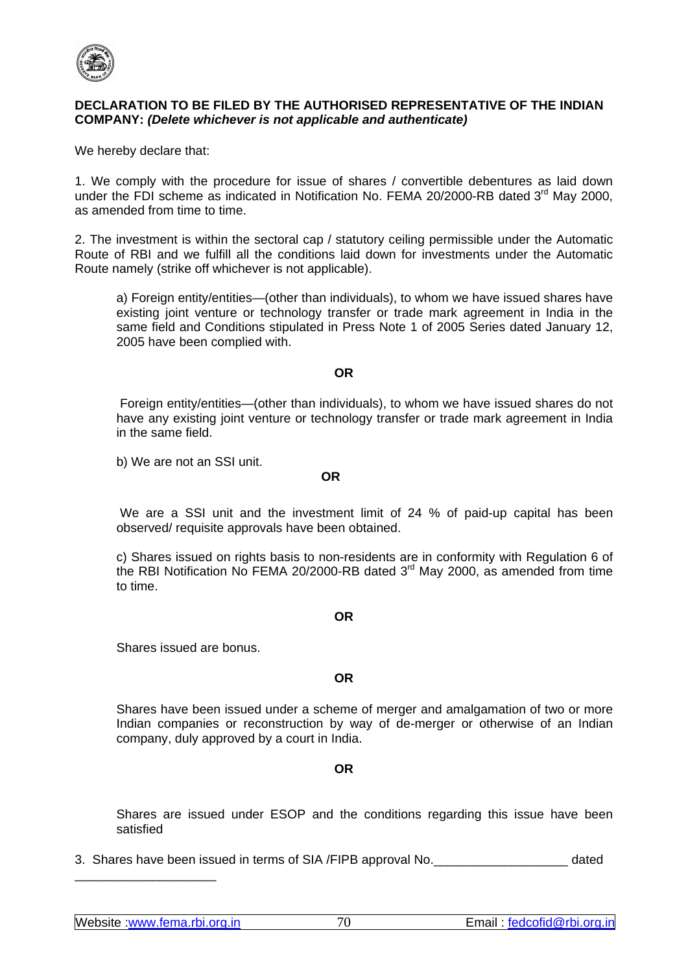

## **DECLARATION TO BE FILED BY THE AUTHORISED REPRESENTATIVE OF THE INDIAN COMPANY:** *(Delete whichever is not applicable and authenticate)*

We hereby declare that:

1. We comply with the procedure for issue of shares / convertible debentures as laid down under the FDI scheme as indicated in Notification No. FEMA 20/2000-RB dated 3<sup>rd</sup> May 2000, as amended from time to time.

2. The investment is within the sectoral cap / statutory ceiling permissible under the Automatic Route of RBI and we fulfill all the conditions laid down for investments under the Automatic Route namely (strike off whichever is not applicable).

a) Foreign entity/entities—(other than individuals), to whom we have issued shares have existing joint venture or technology transfer or trade mark agreement in India in the same field and Conditions stipulated in Press Note 1 of 2005 Series dated January 12, 2005 have been complied with.

### **OR**

 Foreign entity/entities—(other than individuals), to whom we have issued shares do not have any existing joint venture or technology transfer or trade mark agreement in India in the same field.

b) We are not an SSI unit.

### **OR OR**

 We are a SSI unit and the investment limit of 24 % of paid-up capital has been observed/ requisite approvals have been obtained.

c) Shares issued on rights basis to non-residents are in conformity with Regulation 6 of the RBI Notification No FEMA 20/2000-RB dated  $3<sup>rd</sup>$  May 2000, as amended from time to time.

### **OR**

Shares issued are bonus.

### **OR**

Shares have been issued under a scheme of merger and amalgamation of two or more Indian companies or reconstruction by way of de-merger or otherwise of an Indian company, duly approved by a court in India.

## **OR**

Shares are issued under ESOP and the conditions regarding this issue have been satisfied

3. Shares have been issued in terms of SIA /FIPB approval No.

\_\_\_\_\_\_\_\_\_\_\_\_\_\_\_\_\_\_\_\_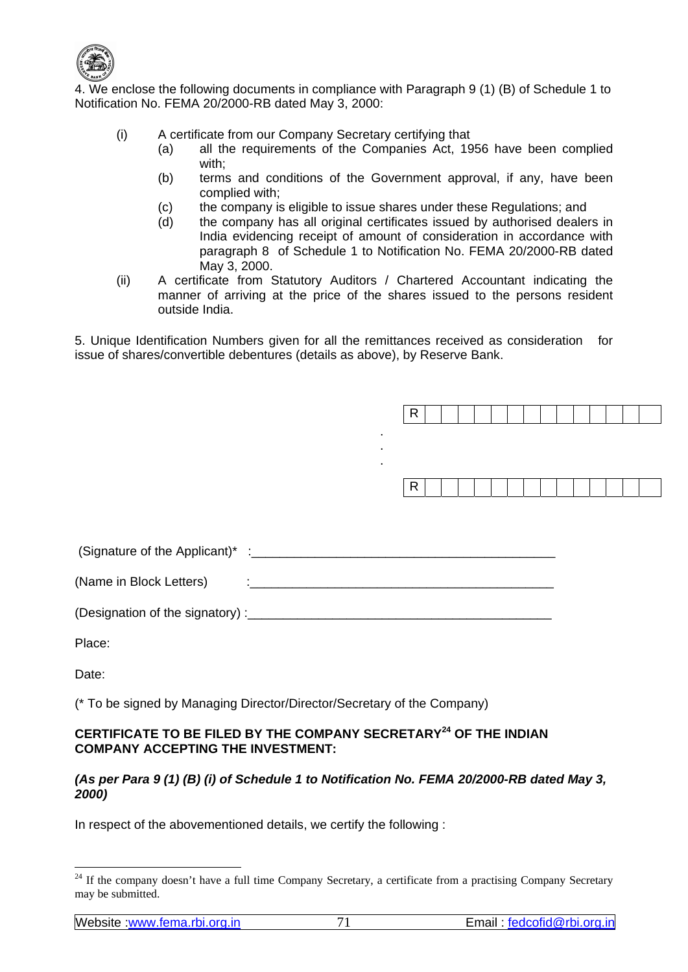

4. We enclose the following documents in compliance with Paragraph 9 (1) (B) of Schedule 1 to Notification No. FEMA 20/2000-RB dated May 3, 2000:

- (i) A certificate from our Company Secretary certifying that
	- (a) all the requirements of the Companies Act, 1956 have been complied with;
	- (b) terms and conditions of the Government approval, if any, have been complied with;
	- (c) the company is eligible to issue shares under these Regulations; and
	- (d) the company has all original certificates issued by authorised dealers in India evidencing receipt of amount of consideration in accordance with paragraph 8 of Schedule 1 to Notification No. FEMA 20/2000-RB dated May 3, 2000.
- (ii) A certificate from Statutory Auditors / Chartered Accountant indicating the manner of arriving at the price of the shares issued to the persons resident outside India.

5. Unique Identification Numbers given for all the remittances received as consideration for issue of shares/convertible debentures (details as above), by Reserve Bank.

|                                                                                                                 | $\blacksquare$ | R |  |  |  |
|-----------------------------------------------------------------------------------------------------------------|----------------|---|--|--|--|
|                                                                                                                 | ٠<br>٠.        | R |  |  |  |
|                                                                                                                 |                |   |  |  |  |
| (Name in Block Letters) (2008) (2009) (2009) (2009) (2009) (2009) (2009) (2009) (2009) (2009) (2009) (2009) (20 |                |   |  |  |  |
|                                                                                                                 |                |   |  |  |  |
| Place:                                                                                                          |                |   |  |  |  |
| Date:                                                                                                           |                |   |  |  |  |

(\* To be signed by Managing Director/Director/Secretary of the Company)

# **CERTIFICATE TO BE FILED BY THE COMPANY SECRETARY24 OF THE INDIAN COMPANY ACCEPTING THE INVESTMENT:**

## *(As per Para 9 (1) (B) (i) of Schedule 1 to Notification No. FEMA 20/2000-RB dated May 3, 2000)*

In respect of the abovementioned details, we certify the following :

<sup>&</sup>lt;sup>24</sup> If the company doesn't have a full time Company Secretary, a certificate from a practising Company Secretary may be submitted.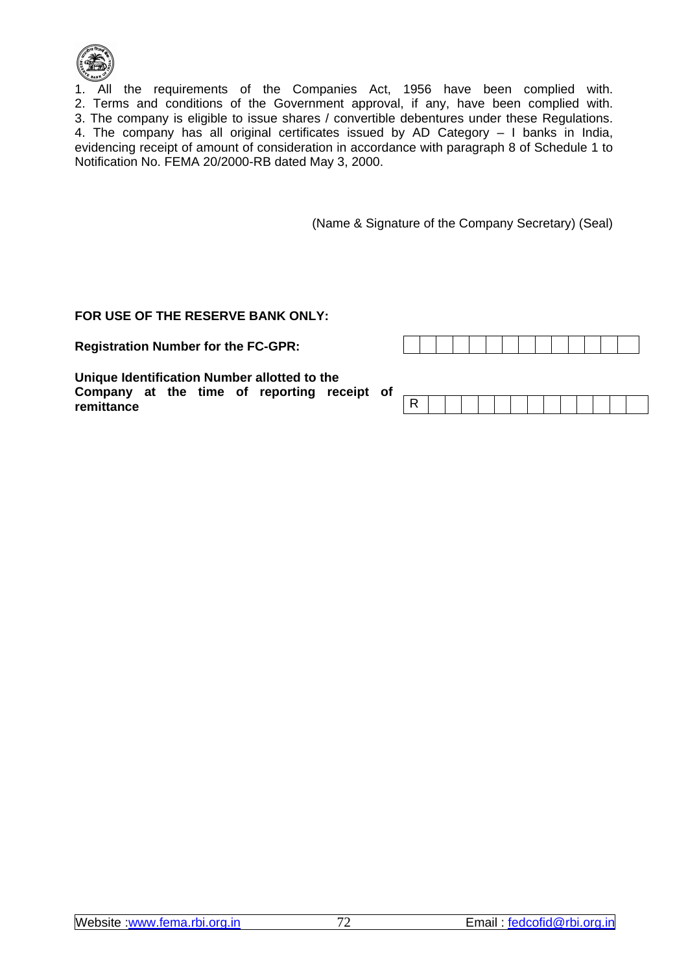

1. All the requirements of the Companies Act, 1956 have been complied with. 2. Terms and conditions of the Government approval, if any, have been complied with. 3. The company is eligible to issue shares / convertible debentures under these Regulations. 4. The company has all original certificates issued by AD Category – I banks in India, evidencing receipt of amount of consideration in accordance with paragraph 8 of Schedule 1 to Notification No. FEMA 20/2000-RB dated May 3, 2000.

(Name & Signature of the Company Secretary) (Seal)

# **FOR USE OF THE RESERVE BANK ONLY:**

**Registration Number for the FC-GPR:** 

| t of |  |  |  |  |  |  |  |  |  |
|------|--|--|--|--|--|--|--|--|--|
|      |  |  |  |  |  |  |  |  |  |

**Unique Identification Number allotted to the Company at the time of reporting receipt remittance**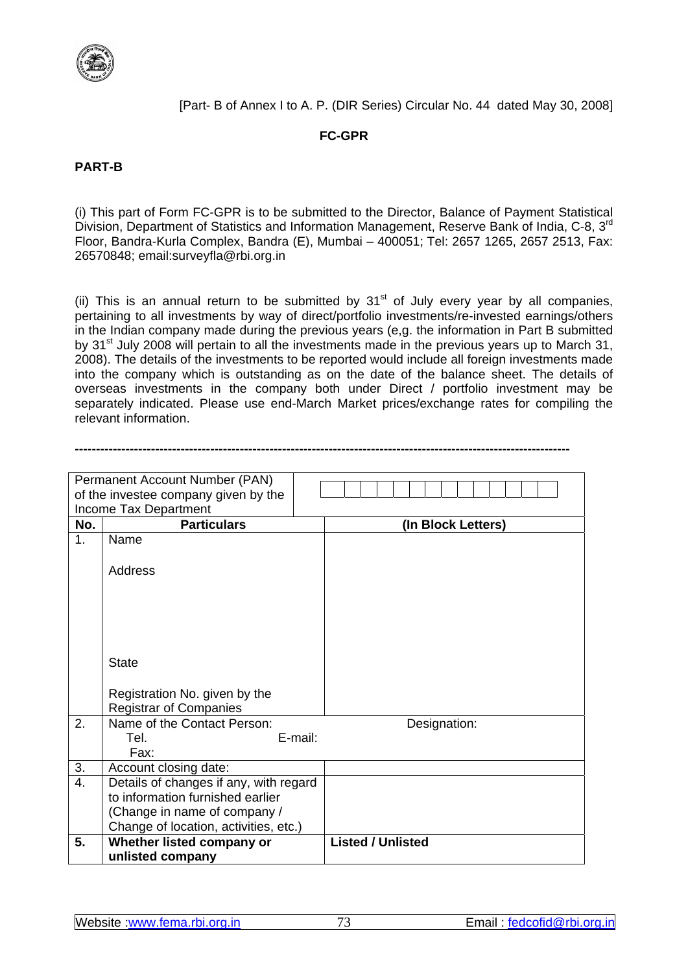

[Part- B of Annex I to A. P. (DIR Series) Circular No. 44 dated May 30, 2008]

# **FC-GPR**

# **PART-B**

(i) This part of Form FC-GPR is to be submitted to the Director, Balance of Payment Statistical Division, Department of Statistics and Information Management, Reserve Bank of India, C-8, 3<sup>rd</sup> Floor, Bandra-Kurla Complex, Bandra (E), Mumbai – 400051; Tel: 2657 1265, 2657 2513, Fax: 26570848; email:surveyfla@rbi.org.in

(ii) This is an annual return to be submitted by  $31<sup>st</sup>$  of July every year by all companies, pertaining to all investments by way of direct/portfolio investments/re-invested earnings/others in the Indian company made during the previous years (e,g. the information in Part B submitted by  $31<sup>st</sup>$  July 2008 will pertain to all the investments made in the previous years up to March 31, 2008). The details of the investments to be reported would include all foreign investments made into the company which is outstanding as on the date of the balance sheet. The details of overseas investments in the company both under Direct / portfolio investment may be separately indicated. Please use end-March Market prices/exchange rates for compiling the relevant information.

**---------------------------------------------------------------------------------------------------------------------** 

|                  | Permanent Account Number (PAN)         |                          |
|------------------|----------------------------------------|--------------------------|
|                  | of the investee company given by the   |                          |
|                  | Income Tax Department                  |                          |
| No.              | <b>Particulars</b>                     | (In Block Letters)       |
| 1.               | Name                                   |                          |
|                  |                                        |                          |
|                  | <b>Address</b>                         |                          |
|                  |                                        |                          |
|                  |                                        |                          |
|                  |                                        |                          |
|                  |                                        |                          |
|                  |                                        |                          |
|                  | <b>State</b>                           |                          |
|                  |                                        |                          |
|                  | Registration No. given by the          |                          |
|                  | <b>Registrar of Companies</b>          |                          |
| 2.               | Name of the Contact Person:            | Designation:             |
|                  | E-mail:<br>Tel.                        |                          |
|                  | Fax:                                   |                          |
| 3.               | Account closing date:                  |                          |
| $\overline{4}$ . | Details of changes if any, with regard |                          |
|                  | to information furnished earlier       |                          |
|                  | (Change in name of company /           |                          |
|                  | Change of location, activities, etc.)  |                          |
| 5.               | Whether listed company or              | <b>Listed / Unlisted</b> |
|                  | unlisted company                       |                          |
|                  |                                        |                          |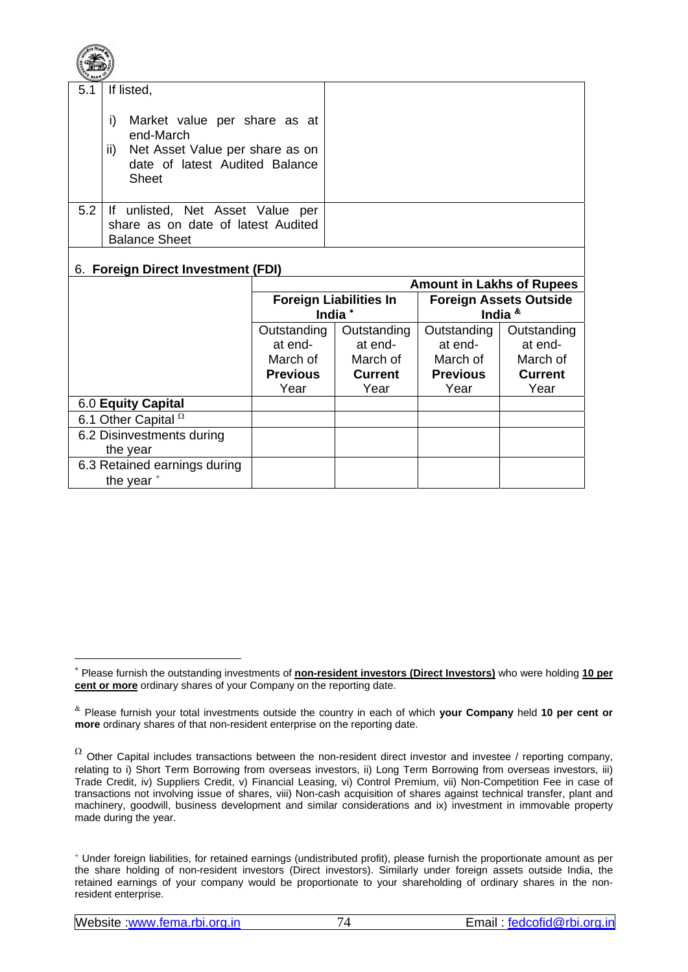| 5.1 | If listed,<br>Market value per share as at<br>i)<br>end-March<br>Net Asset Value per share as on<br>$\mathsf{ii}$<br>date of latest Audited Balance<br><b>Sheet</b> |                 |                               |                                  |                               |
|-----|---------------------------------------------------------------------------------------------------------------------------------------------------------------------|-----------------|-------------------------------|----------------------------------|-------------------------------|
| 5.2 | If unlisted, Net Asset Value per<br>share as on date of latest Audited<br><b>Balance Sheet</b>                                                                      |                 |                               |                                  |                               |
|     | 6. Foreign Direct Investment (FDI)                                                                                                                                  |                 |                               |                                  |                               |
|     |                                                                                                                                                                     |                 |                               |                                  |                               |
|     |                                                                                                                                                                     |                 |                               | <b>Amount in Lakhs of Rupees</b> |                               |
|     |                                                                                                                                                                     |                 | <b>Foreign Liabilities In</b> |                                  | <b>Foreign Assets Outside</b> |
|     |                                                                                                                                                                     |                 | India <sup>*</sup>            |                                  | India &                       |
|     |                                                                                                                                                                     | Outstanding     | Outstanding                   | Outstanding                      | Outstanding                   |
|     |                                                                                                                                                                     | at end-         | at end-                       | at end-                          | at end-                       |
|     |                                                                                                                                                                     | March of        | March of                      | March of                         | March of                      |
|     |                                                                                                                                                                     | <b>Previous</b> | <b>Current</b>                | <b>Previous</b>                  | <b>Current</b>                |
|     |                                                                                                                                                                     | Year            | Year                          | Year                             | Year                          |
|     | 6.0 Equity Capital                                                                                                                                                  |                 |                               |                                  |                               |
|     | 6.1 Other Capital <sup>2</sup>                                                                                                                                      |                 |                               |                                  |                               |
|     | 6.2 Disinvestments during                                                                                                                                           |                 |                               |                                  |                               |
|     | the year<br>6.3 Retained earnings during                                                                                                                            |                 |                               |                                  |                               |

 $\overline{a}$ 

 $\sqrt{2\pi}$ 

<sup>∗</sup> Please furnish the outstanding investments of **non-resident investors (Direct Investors)** who were holding **10 per cent or more** ordinary shares of your Company on the reporting date.

<sup>&</sup>amp; Please furnish your total investments outside the country in each of which **your Company** held **10 per cent or more** ordinary shares of that non-resident enterprise on the reporting date.

 $\Omega$  Other Capital includes transactions between the non-resident direct investor and investee / reporting company, relating to i) Short Term Borrowing from overseas investors, ii) Long Term Borrowing from overseas investors, iii) Trade Credit, iv) Suppliers Credit, v) Financial Leasing, vi) Control Premium, vii) Non-Competition Fee in case of transactions not involving issue of shares, viii) Non-cash acquisition of shares against technical transfer, plant and machinery, goodwill, business development and similar considerations and ix) investment in immovable property made during the year.

<sup>+</sup> Under foreign liabilities, for retained earnings (undistributed profit), please furnish the proportionate amount as per the share holding of non-resident investors (Direct investors). Similarly under foreign assets outside India, the retained earnings of your company would be proportionate to your shareholding of ordinary shares in the nonresident enterprise.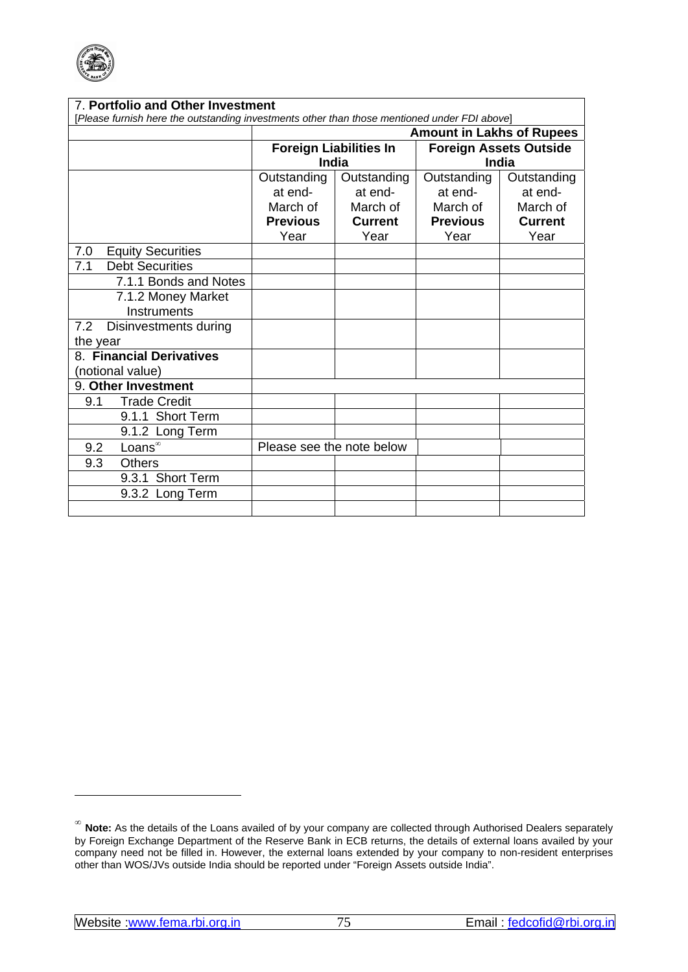

| 7. Portfolio and Other Investment<br>[Please furnish here the outstanding investments other than those mentioned under FDI above] |                                  |                |                               |                |  |  |  |  |  |  |  |
|-----------------------------------------------------------------------------------------------------------------------------------|----------------------------------|----------------|-------------------------------|----------------|--|--|--|--|--|--|--|
|                                                                                                                                   | <b>Amount in Lakhs of Rupees</b> |                |                               |                |  |  |  |  |  |  |  |
|                                                                                                                                   | <b>Foreign Liabilities In</b>    |                | <b>Foreign Assets Outside</b> |                |  |  |  |  |  |  |  |
|                                                                                                                                   | <b>India</b>                     |                | India                         |                |  |  |  |  |  |  |  |
|                                                                                                                                   | Outstanding                      | Outstanding    | Outstanding                   | Outstanding    |  |  |  |  |  |  |  |
|                                                                                                                                   | at end-                          | at end-        | at end-                       | at end-        |  |  |  |  |  |  |  |
|                                                                                                                                   | March of                         | March of       | March of                      | March of       |  |  |  |  |  |  |  |
|                                                                                                                                   | <b>Previous</b>                  | <b>Current</b> | <b>Previous</b>               | <b>Current</b> |  |  |  |  |  |  |  |
|                                                                                                                                   | Year                             | Year           | Year                          | Year           |  |  |  |  |  |  |  |
| <b>Equity Securities</b><br>7.0                                                                                                   |                                  |                |                               |                |  |  |  |  |  |  |  |
| <b>Debt Securities</b><br>7.1                                                                                                     |                                  |                |                               |                |  |  |  |  |  |  |  |
| 7.1.1 Bonds and Notes                                                                                                             |                                  |                |                               |                |  |  |  |  |  |  |  |
| 7.1.2 Money Market                                                                                                                |                                  |                |                               |                |  |  |  |  |  |  |  |
| Instruments                                                                                                                       |                                  |                |                               |                |  |  |  |  |  |  |  |
| 7.2<br>Disinvestments during                                                                                                      |                                  |                |                               |                |  |  |  |  |  |  |  |
| the year                                                                                                                          |                                  |                |                               |                |  |  |  |  |  |  |  |
| 8. Financial Derivatives                                                                                                          |                                  |                |                               |                |  |  |  |  |  |  |  |
| (notional value)                                                                                                                  |                                  |                |                               |                |  |  |  |  |  |  |  |
| 9. Other Investment                                                                                                               |                                  |                |                               |                |  |  |  |  |  |  |  |
| <b>Trade Credit</b><br>9.1                                                                                                        |                                  |                |                               |                |  |  |  |  |  |  |  |
| 9.1.1 Short Term                                                                                                                  |                                  |                |                               |                |  |  |  |  |  |  |  |
| 9.1.2 Long Term                                                                                                                   |                                  |                |                               |                |  |  |  |  |  |  |  |
| Loans <sup>®</sup><br>9.2                                                                                                         | Please see the note below        |                |                               |                |  |  |  |  |  |  |  |
| 9.3<br><b>Others</b>                                                                                                              |                                  |                |                               |                |  |  |  |  |  |  |  |
| 9.3.1 Short Term                                                                                                                  |                                  |                |                               |                |  |  |  |  |  |  |  |
| 9.3.2 Long Term                                                                                                                   |                                  |                |                               |                |  |  |  |  |  |  |  |
|                                                                                                                                   |                                  |                |                               |                |  |  |  |  |  |  |  |

<sup>∞</sup> **Note:** As the details of the Loans availed of by your company are collected through Authorised Dealers separately by Foreign Exchange Department of the Reserve Bank in ECB returns, the details of external loans availed by your company need not be filled in. However, the external loans extended by your company to non-resident enterprises other than WOS/JVs outside India should be reported under "Foreign Assets outside India".